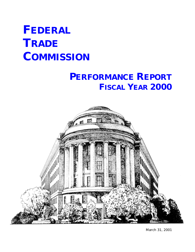# **FEDERAL TRADE COMMISSION**

# **PERFORMANCE REPORT FISCAL YEAR 2000**



March 31, 2001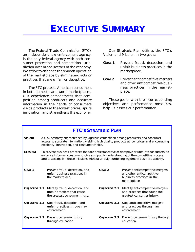# **EXECUTIVE SUMMARY**

The Federal Trade Commission (FTC), an independent law enforcement agency, is the only federal agency with both consumer protection and competition jurisdiction over broad sectors of the economy. We strive to enhance the smooth operation of the marketplace by eliminating acts or practices that are unfair or deceptive.

The FTC protects American consumers in both domestic and world marketplaces. Our experience demonstrates that competition among producers and accurate information in the hands of consumers yields products at the lowest prices, spurs innovation, and strengthens the economy.

Our Strategic Plan defines the FTC's Vision and Mission in two goals:

- **GOAL 1** Prevent fraud, deception, and unfair business practices in the marketplace.
- **GOAL2** Prevent anticompetitive mergers and other anticompetitive business practices in the marketplace.

These goals, with their corresponding objectives and performance measures, help us assess our performance.

| <b>FTC'S STRATEGIC PLAN</b> |                                                                                                                                                                                                                                                                                    |                                                                                                                                                                                                                                   |                      |                                                                                                           |  |  |  |  |
|-----------------------------|------------------------------------------------------------------------------------------------------------------------------------------------------------------------------------------------------------------------------------------------------------------------------------|-----------------------------------------------------------------------------------------------------------------------------------------------------------------------------------------------------------------------------------|----------------------|-----------------------------------------------------------------------------------------------------------|--|--|--|--|
| <b>VISION:</b>              |                                                                                                                                                                                                                                                                                    | A U.S. economy characterized by vigorous competition among producers and consumer<br>access to accurate information, yielding high quality products at low prices and encouraging<br>efficiency, innovation, and consumer choice. |                      |                                                                                                           |  |  |  |  |
| <b>MISSION:</b>             | To prevent business practices that are anticompetitive or deceptive or unfair to consumers; to<br>enhance informed consumer choice and public understanding of the competitive process;<br>and to accomplish these missions without unduly burdening legitimate business activity. |                                                                                                                                                                                                                                   |                      |                                                                                                           |  |  |  |  |
| $G$ $OAI.1$                 |                                                                                                                                                                                                                                                                                    | Prevent fraud, deception, and<br>unfair business practices in<br>the marketplace.                                                                                                                                                 | $G$ $OAI.2$          | Prevent anticompetitive mergers<br>and other anticompetitive<br>business practices in the<br>marketplace. |  |  |  |  |
|                             |                                                                                                                                                                                                                                                                                    | <b>OBJECTIVE 1.1</b> Identify fraud, deception, and<br>unfair practices that cause<br>the greatest consumer injury.                                                                                                               | <b>OBJECTIVE 2.1</b> | Identify anticompetitive mergers<br>and practices that cause the<br>greatest consumer injury.             |  |  |  |  |
|                             |                                                                                                                                                                                                                                                                                    | <b>OBJECTIVE 1.2</b> Stop fraud, deception, and<br>unfair practices through law<br>enforcement.                                                                                                                                   | <b>OBJECTIVE 2.2</b> | Stop anticompetitive mergers<br>and practices through law<br>enforcement.                                 |  |  |  |  |
|                             |                                                                                                                                                                                                                                                                                    | <b>OBJECTIVE 1.3</b> Prevent consumer injury<br>through education.                                                                                                                                                                |                      | <b>OBJECTIVE 2.3</b> Prevent consumer injury through<br>education.                                        |  |  |  |  |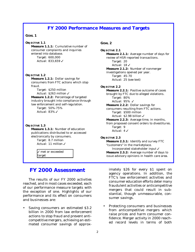#### **FY 2000 Performance Measures and Targets**

#### **GOAL 1**

#### *OBJECTIVE 1.1*

**Measure 1.1.1:** Cumulative number of consumer complaints and inquiries entered into database. Target: 600,000 Actual: 833,659 √

#### *OBJECTIVE 1.2*

**Measure 1.2.1:** Dollar savings for consumers from FTC actions which stop fraud. Target: \$250 million Actual:  $$263$  million  $\checkmark$ 

**Measure 1.2.2:** Percentage of targeted industry brought into compliance through law enforcement and self-regulation. Target: 50%-75% Actual:  $83\%$   $\checkmark$ 

#### *OBJECTIVE 1.3*

**Measure 1.3.1:** Number of education publications distributed to or accessed electronically by consumers. Target: 8.7 million Actual: 11 million  $\checkmark$ 

> $\sqrt{m}$  met or exceeded target

#### *FY 2000 Assessment*

The results of our FY 2000 activities reached, and in most cases exceeded, each of our performance measure targets with the exception of one. Highlights of our performance and its effect on consumers and businesses are:

• Saving consumers an estimated \$3.2 billion in 2000 from law enforcement actions to stop fraud and prevent anticompetitive mergers, achieving an estimated consumer savings of approx-

#### **GOAL 2**

*OBJECTIVE 2.1* **Measure 2.1.1:** Average number of days for review of HSR-reported transactions. Target: 20 Actual:  $18 \checkmark$ **Measure 2.1.2:** Number of nonmerger investigations opened per year. Target: 45-70 Actual: 25 *(see text)*

#### *OBJECTIVE 2.2*

**Measure 2.2.1:** Positive outcome of cases brought by FTC due to alleged violations. Target: 80% Actual:  $95\%$   $\checkmark$ **Measure 2.2.2:** Dollar savings for consumers resulting from FTC actions. Target: \$500 million Actual: \$2.98 billion  $\checkmark$ **Measure 2.2.3:** Average time, in months, from proposed consent orders to divestitures.

- Target: 9
- Actual:  $4\checkmark$

#### *OBJECTIVE 2.3*

**Measure 2.3.1:** Identify and survey FTC "customers" in the marketplace.

Incorporated stakeholder input  $\checkmark$ **Measure 2.3.2:** Average number of days to issue advisory opinions in health care area.

imately \$26 for every \$1 spent on agency operations. In addition, the FTC's law enforcement activities and consumer education efforts deter many fraudulent activities or anticompetitive mergers that could result in substantial, though unmeasurable, consumer savings.

• Protecting consumers and businesses from anticompetitive mergers which raise prices and harm consumer confidence. Merger activity in 2000 reached record levels in terms of both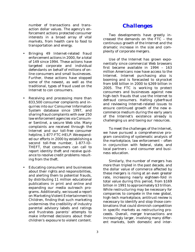number of transactions and transaction dollar values. The agency's enforcement actions protected consumer interests in a broad array of vital markets, from health care to food to transportation and energy.

- Bringing 49 Internet-related fraud enforcement actions in 2000, for a total of 149 since 1994. These actions have targeted corporate and individual defendants on behalf of millions of online consumers and small businesses. Further, these actions have stopped some of the newest, as well as the traditional, types of fraud used on the Internet to con consumers.
- Receiving and processing more than 833,500 consumer complaints and inquiries into our Consumer Information System database since 1997, and sharing fraud complaints with over 250 law enforcement agencies via Consumer Sentinel, a secure Web site. Many complaints are received through the Internet and our toll-free consumer helpline, 1-877-FTC-HELP. We expanded our efforts in 2000 by establishing a second toll-free number, 1-877-ID-THEFT, that consumers can call to report identity theft and receive guidance to resolve credit problems resulting from the theft.
- Educating consumers and businesses about their rights and responsibilities, and alerting them to potential frauds, by distributing 11 million educational publications in print and online and expanding our media outreach programs. Additionally, we issued a report on Marketing Violent Entertainment to Children, finding that such marketing undermines the credibility of industry parental advisory labels and ratings and frustrates parents' attempts to make informed decisions about their children's exposure to violent content.

#### *Challenges*

Two developments have greatly increased the demands on the FTC – the continuous growth of the Internet and the dramatic increase in the size and complexity of corporate mergers.

Use of the Internet has grown exponentially since commercial Web browsers first became available in 1994 – 163 million Americans now have access to the Internet. Internet purchasing also is booming and is forecasted to skyrocket from \$48 billion in 2000 to \$269 billion in 2005. The FTC is working to protect consumers and businesses against new high-tech frauds that use the Internet to defraud consumers. Halting cyberfraud and reviewing Internet-related issues to ensure continued growth of the new ecommerce medium during the early years of the Internet's existence already is challenging us and taxing our resources.

To meet the challenges of the Internet, we have pursued a comprehensive program consisting of systematic analysis of the marketplace, law enforcement – often in conjunction with federal, state, and local partners – and consumer and business education.

Similarly, the number of mergers has more than tripled in the past decade, and the dollar value of commerce affected by these mergers is rising at an even greater rate, increasing nearly eighteen-fold in total value during this period, from \$169 billion in 1991 to approximately \$3 trillion. While restructuring may be necessary for companies to compete in the new global, high-tech marketplace, antitrust review is necessary to identify and stop those combinations that could diminish competition in specific markets as restructuring proceeds. Overall, merger transactions are increasingly larger, involving many different markets, both domestic and inter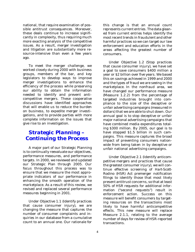national, that require examination of possible antitrust consequences. Moreover, these deals continue to increase significantly in complexity, thus requiring much more exacting analysis of the competitive issues. As a result, merger investigation and litigation are substantially more resource-intensive than even a few years ago.

To meet the merger challenge, we worked closely during 2000 with business groups, members of the bar, and key legislators to develop ways to improve merger investigations to enhance the efficiency of the process while preserving our ability to obtain the information needed to identify and prevent anticompetitive mergers. These cooperative discussions have identified approaches that will enable us to reduce the burden on business, to expedite merger investigations, and to provide parties with more complete information on the issues that give rise to an investigation.

#### *Strategic Planning – Continuing the Process*

A major part of our Strategic Planning is to continually reevaluate our objectives, performance measures, and performance targets. In 2000, we reviewed and updated our Strategic Plan through 2005. Our focus throughout this process was to ensure that we measure the most appropriate indicators of our performance in enhancing the smooth operation of the marketplace. As a result of this review, we revised and replaced several performance measures beginning in 2001.

Under Objective 1.1 (Identify practices that cause consumer injury), we are changing the measure that captures the number of consumer complaints and inquiries in our database from a cumulative count to an annual one. Our rationale for this change is that an annual count represents current entries. The data gleaned from current entries helps identify the most recent trends in fraudulent and other harmful practices so we can target our law enforcement and education efforts in the areas affecting the greatest number of consumers.

Under Objective 1.2 (Stop practices that cause consumer injury), we have set a goal to save consumers \$400 million a year or \$2 billion over five years. We based this on savings achieved in 1999 and 2000 and the types of fraud we are seeing in the marketplace. In the nonfraud area, we have changed our performance measure (Measure 1.2.2) from the percentage of targeted industries brought into compliance to the size of the deceptive or unfair advertising campaigns (measured in dollars) that we are able to shut down. Our annual goal is to stop deceptive or unfair major national advertising campaigns that have combined media expenditures totaling \$300 million. By 2005, our goal is to have stopped \$1.5 billion in such campaigns. This measure captures the broad impact of preventing consumers nationwide from being taken in by deceptive or unfair national advertising campaigns.

Under Objective 2.1 (Identify anticompetitive mergers and practices that cause the greatest consumer injury), we will continue effective screening of *Hart-Scott-Rodino (HSR) Act* premerger notification filings to identify those that most likely present antitrust concerns, so that at least 50% of HSR requests for additional information ("second requests") result in enforcement action. Success on this measure will benefit consumers by targeting resources on the transactions most likely to have harmful anticompetitive effects. This new measure will replace Measure 2.1.1, relating to the average number of days for review of HSR-reported transactions.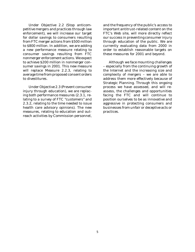Under Objective 2.2 (Stop anticompetitive mergers and practices through law enforcement), we will increase our target for dollar savings to consumers resulting from FTC merger actions from \$500 million to \$800 million. In addition, we are adding a new performance measure relating to consumer savings resulting from FTC nonmerger enforcement actions. We expect to achieve \$200 million in nonmerger consumer savings in 2001. This new measure will replace Measure 2.2.3, relating to average time from proposed consent orders to divestitures.

Under Objective 2.3 (Prevent consumer injury through education), we are replacing both performance measures (2.3.1, relating to a survey of FTC "customers" and 2.3.2, relating to the time needed to issue health care advisory opinions). The new measures, relating to education and outreach activities by Commission personnel,

and the frequency of the public's access to important antitrust-related content on the FTC's Web site, will more directly reflect our success in preventing consumer injury through education of the public. We are currently evaluating data from 2000 in order to establish reasonable targets on these measures for 2001 and beyond.

Although we face mounting challenges – especially from the continuing growth of the Internet and the increasing size and complexity of mergers – we are able to address them more effectively because of Strategic Planning. Through this ongoing process we have assessed, and will reassess, the challenges and opportunities facing the FTC and will continue to position ourselves to be as innovative and aggressive in protecting consumers and businesses from unfair or deceptive acts or practices.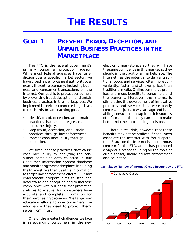# **THE RESULTS**

# **GOAL 1 PREVENT FRAUD, DECEPTION, AND UNFAIR BUSINESS PRACTICES IN THE MARKETPLACE**

The FTC is the federal government's primary consumer protection agency. While most federal agencies have jurisdiction over a specific market sector, we have broad law enforcement authority over nearly the entire economy, including business and consumer transactions on the Internet. Our goal is to protect consumers by preventing fraud, deception, and unfair business practices in the marketplace. We implement three interconnected objectives to reach this broad-reaching goal.

- Identify fraud, deception, and unfair practices that cause the greatest consumer injury.
- Stop fraud, deception, and unfair practices through law enforcement.
- Prevent consumer injury through education.

We first identify practices that cause consumer injury by analyzing the consumer complaint data collected in our Consumer Information System database and monitoring the marketplace, including the Internet. We then use this information to target law enforcement efforts. Our law enforcement program aims to stop and deter fraud and deception and to increase compliance with our consumer protection statutes to ensure that consumers have accurate and complete information for their purchasing decisions. We target our education efforts to give consumers the information they need to protect themselves from injury.

One of the greatest challenges we face is safeguarding consumers in the new electronic marketplace so they will have the same confidence in this market as they should in the traditional marketplace. The Internet has the potential to deliver traditional goods and services, often more conveniently, faster, and at lower prices than traditional media. Online commerce promises enormous benefits to consumers and the economy. Moreover, the Internet is stimulating the development of innovative products and services that were barely conceivable just a few years ago and is enabling consumers to tap into rich sources of information that they can use to make better informed purchasing decisions.

There is real risk, however, that these benefits may not be realized if consumers associate the Internet with fraud operators. Fraud on the Internet is an enormous concern for the FTC, and it has prompted a vigorous response using all the tools at our disposal, including law enforcement and education.



#### **Cumulative Number of Internet Cases Brought by the FTC**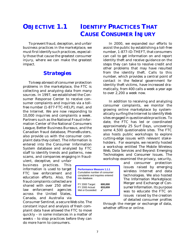# **OBJECTIVE 1.1 IDENTIFY PRACTICES THAT CAUSE CONSUMER INJURY**

To prevent fraud, deception, and unfair business practices in the marketplace, we must first identify such practices, especially those that cause the greatest consumer injury, where we can make the greatest impact.

#### *Strategies*

To keep abreast of consumer protection problems in the marketplace, the FTC is collecting and analyzing data from many sources. In 1997, we established the Consumer Response Center to receive consumer complaints and inquiries via a tollfree number (1-877-FTC-HELP), mail, and the Internet. We are now responding to 10,000 inquiries and complaints a week. Partners such as the National Fraud Information Center of the National Consumers League, Better Business Bureaus, and the Canadian fraud database, PhoneBusters, also provide us with the consumer complaint data they collect. The information is entered into the Consumer Information System database and analyzed by FTC staff to identify trends and patterns, new scams, and companies engaging in fraud-

ulent, deceptive, and unfair business practices. This information is used to target FTC law enforcement and education efforts. Also, the fraud complaints collected are shared with over 250 other law enforcement agencies across the United States, Canada, and Australia via

Consumer Sentinel, a secure Web site. The constant input and analysis of fresh complaint data have allowed the FTC to move quickly – in some instances in a matter of weeks – to stop practices before they can do more harm to consumers.

In 2000, we expanded our efforts to assist the public by establishing a toll-free number, 1-877-ID-THEFT, that consumers can call to get information on and report identity theft and receive guidance on the steps they can take to resolve credit and other problems that may have resulted from the identity theft. Calls to this number, which provides a central point of contact in the federal government for identity theft victims, have increased dramatically, from 400 calls a week a year ago to over 2,200 a week now.

In addition to receiving and analyzing consumer complaints, we monitor the growing online marketplace by systematically surfing the Internet to identify Web sites engaged in questionable practices. To date, the FTC has led or coordinated approximately 25 Surf Days, uncovering some 4,500 questionable sites. The FTC also hosts public workshops to explore cutting-edge issues with relevant stakeholders. For example, we recently hosted a workshop entitled *The Mobile Wireless Web, Data Services and Beyond: Emerging Technologies and Consumer Issues.* The workshop examined the privacy, security,

> and consumer protection issues raised by emerging wireless Internet and data technologies. We also hosted *The Information Marketplace: Merger and Exchange of Consumer Information*. Its purpose was to educate the FTC on issues raised by the creation of detailed consumer profiles

through the merger or exchange of data, whether offline or online.

**Performance Measure 1.1.1** Cumulative number of consumer complaints and inquiries entered into database. FY 2000 Target: **600,000** FY 2000 Actual: **833,659** Met or  $Expected:$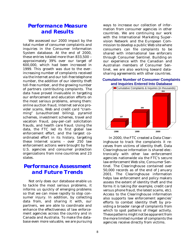#### *Performance Measure and Results*

We assessed our 2000 impact by the total number of consumer complaints and inquiries in the Consumer Information System database. At the end of 2000, these entries totaled more than 833,500 – approximately 39% over our target of 600,000, which had been increased in 1999. This growth was due to the everincreasing number of complaints received via the Internet and our toll-free telephone number, the addition of our identity theft toll-free number, and the growing number of partners contributing complaints. The data have proved invaluable in targeting our enforcement and education efforts on the most serious problems, among them: online auction fraud, Internet service provider scams, Web and credit card "cramming" (unauthorized billing), pyramid schemes, investment schemes, travel and vacation fraud, pay-per-call solicitation frauds, and health care fraud. Using the data, the FTC led its first global law enforcement effort, and the largest coordinated effort in its history, targeting these Internet scams – over 250 law enforcement actions were brought by five U.S. agencies and consumer protection organizations from nine countries and 23 states.

### *Performance Assessment and Future Trends*

Not only does our database enable us to tackle the most serious problems, it informs us quickly of emerging problems so that we can move rapidly to stop consumer injury. In addition, by collecting data from, and sharing it with, our partners, we are able to coordinate and enhance the effectiveness of law enforcement agencies across the country and in Canada and Australia. To make the database even more valuable, we are pursuing

ways to increase our collection of information from consumer agencies in other countries. We are continuing our work with the International Marketing Supervision Network and the European Commission to develop a public Web site where consumers can file complaints to be shared with international law enforcers through Consumer Sentinel. Building on our experience with the Canadian and Australian members of Consumer Sentinel, we are also working toward datasharing agreements with other countries.

#### **Cumulative Number of Consumer Complaints and Inquiries Entered Into Database**



In 2000, the FTC created a Data Clearinghouse to track the complaints it receives from victims of identity theft. Data Clearinghouse information is shared electronically with other law enforcement agencies nationwide via the FTC's secure law enforcement Web site, Consumer Sentinel. The Clearinghouse contained over 50,000 records as of the end of January 2001. The Clearinghouse information helps law enforcement and policy makers assess the extent of identity theft and the forms it is taking (for example, credit card versus phone fraud, the latest scams, etc). Access to the Clearinghouse information also supports law enforcement agencies' efforts to combat identity theft by providing a broader range of complaints from which to spot patterns of illegal activity. These patterns might not be apparent from the more limited number of complaints the agencies receive directly from victims.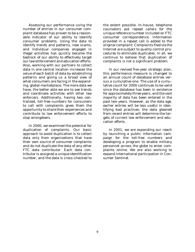Assessing our performance using the number of entries in our consumer complaint database has proven to be a reasonable indicator of our ability to identify consumer problems. Using the data to identify trends and patterns, new scams, and individual companies engaged in illegal activities has quickly become the bedrock of our ability to effectively target our law enforcement and education efforts. Also, working with our partners to collect data in one central location increases the value of each batch of data by establishing patterns and giving us a broad view of what consumers are facing in the expanding, global marketplace. The more data we have, the better able we are to see trends and coordinate activities with other law enforcers. Additionally, having two centralized, toll-free numbers for consumers to call with complaints gives them the opportunity to share their experiences and contribute to law enforcement efforts to stop wrongdoers.

In 2000, we examined the potential for duplication of complaints. Our basic approach to avoid duplication is to collect data only from organizations that have their own source of consumer complaints and do not duplicate the data of any other FTC data contributor. Each data contributor is assigned a unique identification number, and the data is cross-checked to

the extent possible. In-house, telephone counselors ask repeat callers for the unique reference number included on FTC consumer correspondence. Information provided in a repeat call is added to the original complaint. Complaints filed via the Internet are subject to quality control procedures to eliminate duplicates. In all, we continue to believe that duplication of complaints is not a significant problem.

In our revised five-year strategic plan, this performance measure is changed to an annual count of database entries versus a cumulative one. The use of a cumulative count for 2000 continues to be valid since the database has been in existence for approximately three years, and the vast majority of data has been entered in the past two years. However, as the data age, earlier entries will be less useful in identifying bad practices; the data gleaned from recent entries will determine the targets of current law enforcement and education efforts.

In 2001, we are expanding our reach by launching a public information campaign for the toll-free numbers and developing a program to enable military personnel across the globe to enter complaints online. We are also working to expand international participation in Consumer Sentinel.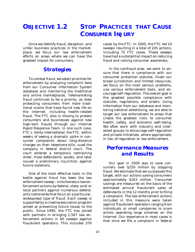# **OBJECTIVE 1.2 STOP PRACTICES THAT CAUSE CONSUMER INJURY**

Once we identify fraud, deception, and unfair business practices in the marketplace, we focus our law enforcement efforts on areas where we can have the greatest impact for consumers.

#### *Strategies*

To combat fraud, we select priorities for enforcement by analyzing complaint data from our Consumer Information System database and monitoring the traditional and online marketplaces. Telemarketing fraud continues to be a priority, as does protecting consumers from more traditional scams that have found new life on the Internet, including health-related fraud. The FTC also is moving to protect consumers and businesses against new high-tech frauds through our Internet Rapid Response Team. In one such case, *FTC v. Verity International,* the FTC, within weeks of seeing a dramatic spike in consumer complaints about long-distance charges on their telephone bills, sued the company in federal district court. The court entered a temporary restraining order, froze defendants' assets, and later issued a preliminary injunction against future violations.

One of the most effective tools in the battle against fraud has been the law enforcement sweep – simultaneous law enforcement actions by federal, state, and/or local partners against numerous defendants nationwide that focus on a particular, widespread type of fraud. Each sweep is supported by a creative education program aimed at preventing future losses to the public. Since 1995, the FTC has joined with partners in bringing 1,567 law enforcement actions in 60 sweeps against fraudulent operators. This includes 376 cases by the FTC. In 2000, the FTC led 10 sweeps resulting in a total of 245 actions, including 75 FTC cases. These sweeps have had a substantial impact on reducing fraud and raising consumer awareness.

In the nonfraud area, we work to ensure that there is compliance with our consumer protection statutes. Given our broad jurisdiction and limited resources, we focus on the most serious problems, use various enforcement tools, and encourage self-regulation. The overall goal is the greatest possible compliance with statutes, regulations, and orders. Using information from our database and monitoring national advertising, we are able to target our law enforcement to areas that create the greatest risks to consumer health, safety, and economic well-being. We often work with industry and interested groups to encourage self-regulation and private initiatives, where appropriate, in lieu of regulation or law enforcement.

### *Performance Measures and Results*

Our goal in 2000 was to save consumers over \$250 million by stopping fraud. We estimate that we surpassed this target, with our actions saving consumers approximately \$263 million. Consumer savings are measured on the basis of the estimated annual fraudulent sales of defendants in the 12 months prior to filing a complaint. The law enforcement actions included in this measure were taken against fraudulent operators ranging from individuals or small companies to scam artists operating large schemes on the Internet. Our experience in most cases is that once we file a complaint in federal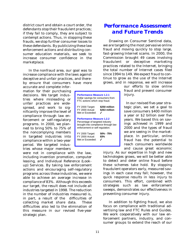district court and obtain a court order, the defendants stop their fraudulent practices; if they fail to comply, they are subject to contempt actions. Thus, in stopping these frauds, we stop further consumer losses to these defendants. By publicizing these law enforcement actions and distributing consumer education materials, we seek to increase consumer confidence in the marketplace.

In the nonfraud area, our goal was to increase compliance with the laws against deceptive and unfair practices, and thereby ensure that consumers have more

accurate and complete information for their purchasing decisions. We target industries where misleading or unfair practices are widespread, and work to significantly improve the level of compliance through law enforcement or self-regulatory programs. In 2000, we planned to bring 50% to 75% of the noncomplying members in targeted industries into compliance within a two-year period. We targeted industries whose major members

were not in compliance with the law, including invention promotion, computer leasing, and Individual Reference (Lookup) Services. By taking law enforcement actions and encouraging self-regulatory programs across these industries, we were able to achieve an average increase in compliance of 83%. Although this exceeds our target, the result does not include all industries targeted in 1998. The reduction in the number of industries measured is, in part, a result of the difficulties of collecting market share data. These difficulties also led to the elimination of this measure in our revised five-year strategic plan.

| <b>Performance Measure 1.2.1</b><br>Dollar savings for consumers from<br>FTC actions which stop fraud.                                        |                                |  |  |
|-----------------------------------------------------------------------------------------------------------------------------------------------|--------------------------------|--|--|
| FY 2000 Target:<br>FY 2000 Actual:<br>Met or Exceeded:                                                                                        | \$250 million<br>\$263 million |  |  |
| <b>Performance Measure 1.2.2</b><br>Percentage of targeted industry<br>brought into compliance through law<br>enforcement or self regulation. |                                |  |  |
| FY 2000 Target:<br>FY 2000 Actual:<br>Met or Exceeded:                                                                                        | 50% - 75%<br>83%               |  |  |

## *Performance Assessment and Future Trends*

Drawing on Consumer Sentinel data, we are targeting the most pervasive online fraud and moving quickly to stop large, fast-growing Internet scams. In 2000, the Commission brought 49 cases involving fraudulent or deceptive marketing practices related to the Internet, bringing the total number of Internet cases filed since 1994 to 149. We expect fraud to continue to grow as the use of the Internet grows, and in response, we will increase

our efforts to slow online fraud and prevent consumer injury.

In our revised five-year strategic plan, we set a goal to save consumers \$400 million a year or \$2 billion over five years. We based this on savings achieved in 1999 and 2000 and the types of fraud we are seeing in the marketplace. In particular, online fraud has the potential to reach consumers worldwide and cause great economic

injury. As our expertise in high and new technologies grows, we will be better able to detect and deter online fraud before these schemes take hold. By stopping fraudulent operators early, measured savings in each case may fall; however, the quick response results in less injury to consumers. This effort, combined with strategies such as law enforcement sweeps, demonstrates our effectiveness in preventing consumer injury.

In addition to fighting fraud, we also focus on compliance with traditional advertising law and FTC Rules and Guides. We work cooperatively with our law enforcement partners, industry, and consumer groups to extend the reach of our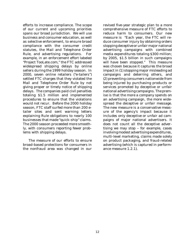efforts to increase compliance. The scope of our current and upcoming priorities spans our broad jurisdiction. We will use business and consumer education, as well as selective enforcement, to ensure broad compliance with the consumer credit statutes, the Mail and Telephone Order Rule, and advertising regulations. For example, in an enforcement effort labeled "Project TooLate.com," the FTC addressed widespread shipping delays by online sellers during the 1999 holiday season. In 2000, seven online retailers ("e-tailers") settled FTC charges that they violated the Mail and Telephone Order Rule by not giving proper or timely notice of shipping delays. The companies paid civil penalties totaling \$1.5 million and implemented procedures to ensure that the violations would not recur. Before the 2000 holiday season, FTC staff surfed more than 200 etailer sites and sent warning letters explaining Rule obligations to nearly 100 businesses that made "quick-ship" claims. The 2000 season proceeded more smoothly, with consumers reporting fewer problems with shipping delays.

The measure of our efforts to ensure broad-based protections for consumers in the nonfraud area was changed in our

revised five-year strategic plan to a more comprehensive measure of FTC efforts to reduce harm to consumers. Our new measure is "Each year, the FTC will reduce consumer injury by obtaining orders stopping deceptive or unfair major national advertising campaigns with combined media expenditures totaling \$300 million; by 2005, \$1.5 billion in such campaigns will have been stopped." This measure was chosen because it captures the broad impact in (1) stopping major misleading ad campaigns and deterring others, and (2) preventing consumers nationwide from being injured by purchasing products or services promoted by deceptive or unfair national advertising campaigns. The premise is that the more a company spends on an advertising campaign, the more widespread the deceptive or unfair message. The new measure is a conservative measure of the agency's impact because it includes only deceptive or unfair ad campaigns of major national advertisers. It does not count all the deceptive advertising we may stop – for example, cases involving modest advertising expenditures, multi-level marketing, claims made solely on product packaging, and fraud-related advertising (which is captured in performance measure 1.2.1).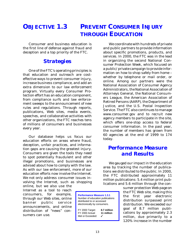## **OBJECTIVE 1.3 PREVENT CONSUMER INJURY THROUGH EDUCATION**

Consumer and business education is the first line of defense against fraud and deception and a top priority of the FTC.

#### *Strategies*

One of the FTC's operating principles is that education and outreach are costeffective ways to prevent consumer injury, increase business compliance, and add an extra dimension to our law enforcement program. Virtually every Consumer Protection effort has an education component, from compliance surfs and law enforcement sweeps to the announcement of new rules and regulations. Through reports, publications, Web sites, media events, speeches, and collaborative activities with other organizations, the FTC reaches tens of millions of consumers and businesses every year.

Our database helps us focus our education efforts on areas where fraud, deception, unfair practices, and information gaps are causing the greatest injury. Consumers are given the tools they need to spot potentially fraudulent and other illegal promotions, and businesses are advised about how to comply with the law. As with our law enforcement, more of our education efforts now involve the Internet. We not only address consumer issues involving the Internet, such as shopping

online, but we also use the Internet as a tool to reach consumers, for example, through our Web sites, online banner public service announcements, and online distribution of "news" consumers can use.

We coordinate with hundreds of private and public partners to provide information about specific promotions, products, and services. In 2000, the FTC was in the lead in organizing the second National Consumer Protection Week, which focused on a public/private campaign to provide information on how to shop safely from home – whether by telephone or mail order, or online. Among our partners were the National Association of Consumer Agency Administrators, the National Association of Attorneys General, the National Consumers League, the American Association of Retired Persons (AARP), the Department of Justice, and the U.S. Postal Inspection Service. The FTC also continues to manage www.consumer.gov and to recruit new agency members to participate in the site, which offers one-stop access to federal consumer information. In the past year, the number of members has grown from 60 agencies at the end of 1999 to 174 today.

### *Performance Measure and Results*

We gauged our impact in the education area by tracking the number of publications we distributed to the public. In 2000, the FTC distributed approximately 11 million publications: 5.4 million print publications and 5.6 million through the con-

> sumer protection Web page on the FTC Web site, making this the first year electronic distribution surpassed print distribution. We exceeded our goal of 8.7 million publications by approximately 2.3 million, due primarily to a 120% increase in the number

| <b>Performance Measure 1.3.1</b><br>Number of education publications<br>distributed to or accessed<br>electronically by consumers. |             |  |  |  |
|------------------------------------------------------------------------------------------------------------------------------------|-------------|--|--|--|
| FY 2000 Target:                                                                                                                    | 8.7 million |  |  |  |
| FY 2000 Actual:                                                                                                                    | 11 million  |  |  |  |

Met or Exceeded:  $\checkmark$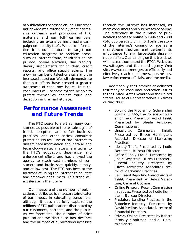of publications accessed online. Our reach nationwide was extended by more aggressive outreach and promotion of FTC materials and our toll-free numbers, including an extensive multimedia campaign on identity theft. We used information from our database to target our education programs to problem areas, such as Internet fraud, children's online privacy, online auctions, day trading, dietary supplements for children, credit reports, and office supply scams. The growing number of telephone calls and the increased use of our Web site demonstrate that our efforts have created a greater awareness of consumer issues. In turn, consumers will, to some extent, be able to protect themselves against fraud and deception in the marketplace.

## *Performance Assessment and Future Trends*

The FTC seeks to alert as many consumers as possible to the telltale signs of fraud, deception, and unfair business practices, and other critical consumer protection issues. Use of the Internet to disseminate information about fraud and technology-related matters is integral to the FTC's education, deterrence, and enforcement efforts and has allowed the agency to reach vast numbers of consumers and businesses quickly, simply, and at low cost. The FTC has been at the forefront of using the Internet to educate and empower consumers. This trend will accelerate in the future.

Our measure of the number of publications distributed is an accurate indicator of our impact in educating consumers, although it does not fully capture the millions of FTC publications distributed by our customers, partners, and the public. As we forecasted, the number of print publications we distribute has declined and the number of publications accessed through the Internet has increased, as more consumers and businesses go online. The difference in the number of publications accessed online in 1996 and 2000 (140,000 versus 5.6 million) tells the story of the Internet's coming of age as a mainstream medium and certainly its importance to any large-scale dissemination effort. Capitalizing on this trend, we will increase our use of the FTC's Web site, www.ftc.gov, and the multi-agency Web site, www.consumer.gov, to efficiently and effectively reach consumers, businesses, law enforcement officials, and the media.

Additionally, the Commission delivered testimony on consumer protection issues to the United States Senate and the United States House of Representatives 16 times during 2000:

- *Solving the Problem of Scholarship Scams: S1465, The College Scholarship Fraud Prevention Act of 1999*, Presented by Sheila Anthony, Commissioner.
- *• Unsolicited Commercial Email*, Presented by Eileen Harrington, Associate Director of Marketing Practices.
- *• Identity Theft*, Presented by Jodie Bernstein, Bureau Director.
- Office Supply Fraud. Presented by Jodie Bernstein, Bureau Director.
- *• Funeral Industry*, Presented by Eileen Harrington, Associate Director of Marketing Practices.
- *Fair Credit Reporting Amendments of 1999*, Presented by Debra Valentine, General Counsel.
- *Online Privacy: Recent Commission Initiatives*. Presented by Jodie Bernstein, Bureau Director.
- *Predatory Lending Practices in the Subprime Industry*, Presented by David Medine, Associate Director of Financial Practices.
- *Privacy Online*, Presented by Robert Pitofsky, Chairman, and all Commissioners.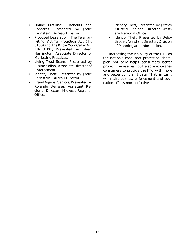- *Online Profiling: Benefits and Concerns*. Presented by Jodie Bernstein, Bureau Director.
- *Proposed Legislation: The Telemarketing Victims Protection Act (HR 3180) and The Know Your Caller Act (HR 3100)*, Presented by Eileen Harrington, Associate Director of Marketing Practices.
- *• Living Trust Scams*, Presented by Elaine Kolish, Associate Director of Enforcement.
- *Identity Theft*, Presented by Jodie Bernstein, Bureau Director.
- *Fraud Against Seniors*, Presented by Rolando Berrelez, Assistant Regional Director, Midwest Regional Office.
- *Identity Theft*, Presented by Jeffrey Klurfeld, Regional Director, Western Regional Office.
- *Identity Theft*, Presented by Betsy Broder, Assistant Director, Division of Planning and Information.

Increasing the visibility of the FTC as the nation's consumer protection champion not only helps consumers better protect themselves, but also encourages consumers to provide the FTC with more and better complaint data. That, in turn, will make our law enforcement and education efforts more effective.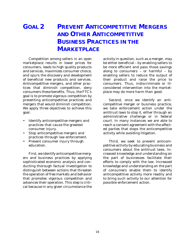# **GOAL 2 PREVENT ANTICOMPETITIVE MERGERS AND OTHER ANTICOMPETITIVE BUSINESS PRACTICES IN THE MARKETPLACE**

Competition among sellers in an open marketplace results in lower prices for consumers, leads to high quality products and services, maximizes consumer choice, and spurs the discovery and development of beneficial new products and services. Anticompetitive mergers, and other practices that diminish competition, deny consumers these benefits. Thus, the FTC's goal is to promote vigorous competition by preventing anticompetitive practices and mergers that would diminish competition. We apply three objectives to achieve this goal.

- Identify anticompetitive mergers and practices that cause the greatest consumer injury.
- Stop anticompetitive mergers and practices through law enforcement.
- Prevent consumer injury through education.

First, we identify anticompetitive mergers and business practices by applying sophisticated economic analysis and conducting thorough factual investigation to distinguish between actions that threaten the operation of free markets and behavior that promotes vigorous competition and advances their operation. This step is critical because in any given circumstance the

activity in question, such as a merger, may be either beneficial – by enabling sellers to be more efficient and pass those savings along to consumers – or harmful – by enabling sellers to reduce the output of their product and raise the price to consumers. Thus, indiscriminate or illconsidered intervention into the marketplace may do more harm than good.

Second, once we identify an anticompetitive merger or business practice, we take enforcement action under the antitrust laws to stop it, either through an administrative challenge or in federal court. In many instances we are able to reach a consent agreement with the affected parties that stops the anticompetitive activity while avoiding litigation.

Third, we seek to prevent anticompetitive activity by educating business and consumers about the antitrust laws. Increased knowledge and understanding on the part of businesses facilitate their efforts to comply with the law. Increased knowledge and understanding on the part of consumers enable them to identify anticompetitive activity more readily and to bring such activity to our attention for possible enforcement action.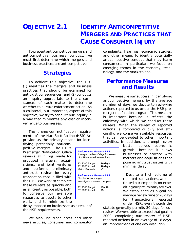# **OBJECTIVE 2.1 IDENTIFY ANTICOMPETITIVE MERGERS AND PRACTICES THAT CAUSE CONSUMER INJURY**

To prevent anticompetitive mergers and anticompetitive business conduct, we must first determine which mergers and business practices are anticompetitive.

#### *Strategies*

To achieve this objective, the FTC (1) identifies the mergers and business practices that should be examined for antitrust consequences, and (2) conducts an inquiry appropriate to the circumstances of each matter to determine whether to pursue enforcement action. As a collateral, but important, aspect of this objective, we try to conduct our inquiry in a way that minimizes any cost or inconvenience to businesses.

The premerger notification requirements of the *Hart-Scott-Rodino (HSR) Act* provide us the primary means for iden-

tifying potentially anticompetitive mergers. The FTC's Premerger Notification Office reviews all filings made for proposed mergers, acquisitions, and joint ventures and performs preliminary antitrust review for every transaction that is filed with the FTC. We work to complete these reviews as quickly and as efficiently as possible, both to conserve our available resources to devote to other work, and to minimize the

delay imposed on businesses as a result of the HSR requirements.

We also use trade press and other news articles, consumer and competitor complaints, hearings, economic studies, and other means to identify potentially anticompetitive conduct that may harm consumers. In particular, we focus on emerging trends in the economy, technology, and the marketplace.

### *Performance Measures and Results*

We measure our success in identifying anticompetitive mergers by the average number of days we devote to reviewing actions reported to us under the HSR premerger notification program. This measure is important because it reflects the efficiency with which we conduct these reviews. When the review of reported actions is completed quickly and efficiently, we conserve available resources that can be devoted to other important activities. In addition, a prompt review

> better serves economic growth, because it allows businesses to proceed with mergers and acquisitions that pose no antitrust issues with minimal delay.

> Despite a high volume of reported transactions, we continued our emphasis on expediting our preliminary reviews. We established as a goal an average review time of 20 days for transactions reported under HSR, even though the

statute generally permits 30 days for our review. We were able to exceed that goal in 2000, completing our review of HSRreported actions in an average of 18 days, an improvement of one day over 1999.

**Performance Measure 2.1.1** Average number of days for review of HSR-reported transactions. FY 2000 Target: **20 days** FY 2000 Actual: **18 days** Met or Exceeded:  $\checkmark$ 

**Performance Measure 2.1.2** Number of nonmerger investigations opened per year. FY 2000 Target: **45 - 70** FY 2000 Actual: **25**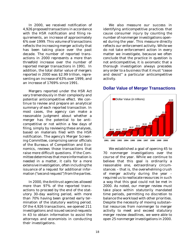In 2000, we received notification of 4,926 proposed transactions in accordance with the HSR notification and filing requirements, an increase of approximately 6% over 1999. This volume of transactions reflects the increasing merger activity that has been taking place over the past decade. The number of reported transactions in 2000 represents a more than threefold increase over the number of reported merger transactions in 1991. In addition, the total dollar value of mergers reported in 2000 was \$2.99 trillion, representing an increase of 63% over 1999, and an increase of 1769% since 1991.

Mergers reported under the *HSR Act* vary tremendously in their complexity and potential anticompetitive effect. We continue to review and prepare an analytical summary of each reported transaction. In most cases, the agency can make a reasonable judgment about whether a merger has the potential to be anticompetitive or not within a few days of filing, simply by reviewing these analyses, based on materials filed with the HSR notification. The agency's Merger Screening Committee, comprising senior officials of the Bureaus of Competition and Economics, reviews those transactions that raise more difficult questions. If the Committee determines that more information is needed in a matter, it calls for a more extensive investigation, often including the issuance of a request for additional information ("second request") from the parties.

In 2000, the Antitrust agencies allowed more than 97% of the reported transactions to proceed by the end of the statutory 30-day waiting period, with more than 70% having been granted early termination of the statutory waiting period. Of the 4,926 transactions, we opened 211 investigations and issued second requests in 43 to obtain information to assist the attorneys and economists in conducting their investigations.

We also measure our success in identifying anticompetitive practices that cause consumer injury by counting the number of nonmerger investigations opened during the year. This measure directly reflects our enforcement activity. While we do not take enforcement action in every matter we investigate, because we often conclude that the practice in question is not anticompetitive, it is axiomatic that a thorough investigation always precedes any order to a business that it must "cease and desist" a particular anticompetitive activity.



#### **Dollar Value of Merger Transactions**

We established a goal of opening 45 to 70 nonmerger investigations over the course of the year. While we continue to believe that this goal is ordinarily a reasonable one, extraordinary circumstances – that is, the overwhelming crush of merger activity during the year – required us to reallocate resources in such a way that this goal could not be met in 2000. As noted, our merger review must take place within statutorily mandated time periods, permitting no discretion to balance the workload with other priorities. Despite the necessity of moving substantial resources from nonmerger to merger activity to meet and exceed statutory merger review deadlines, we were able to open 25 nonmerger investigations in 2000.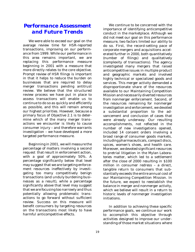### *Performance Assessment and Future Trends*

We were able to exceed our goal on the average review time for HSR-reported transactions, improving on our performance from 1999. While our performance in this area remains important, we are replacing this performance measure beginning in 2001 with a measure that more directly relates to the core objective. Prompt review of HSR filings is important in that it helps to reduce the burden on businesses that are required to delay merger transactions pending antitrust review. We believe that the structured review process we have put in place to assess transactions will enable us to continue to do so as quickly and efficiently as possible, and this will remain among our highest priorities. However, because a primary focus of Objective 2.1 is to determine which of the many merger transactions we encounter is likely to cause consumer injury – and therefore warrants investigation – we have developed a more targeted performance measure.

Beginning in 2001, we will measure the percentage of matters involving a second request that result in enforcement action, with a goal of approximately 50%. A percentage significantly below that level may suggest that we are targeting enforcement resources ineffectively by investigating too many competitively benign transactions (and unduly burdening businesses as a result), while a percentage significantly above that level may suggest that we are focusing too narrowly and thus potentially allowing problematic transactions to go forward without sufficient review. Success on this measure will benefit consumers by targeting resources on the transactions most likely to have harmful anticompetitive effects.

We continue to be concerned with the importance of identifying anticompetitive conduct in the marketplace. Although we did not meet our goal on this performance measure, two factors limited our ability to do so. First, the record-setting pace of corporate mergers and acquisitions accelerated further in 2000, both quantitatively (number of filings) and qualitatively (complexity of transactions). The agency investigated many mergers that raised anticompetitive issues in multiple product and geographic markets and involved highly technical or specialized goods and services. This merger activity demanded a disproportionate share of the resources available to our Maintaining Competition Mission and necessarily diverted resources from nonmerger enforcement. Second, of the resources remaining for nonmerger investigation and enforcement, we devoted a substantial proportion to the advancement and conclusion of cases that were already underway. Our resulting accomplishments, not reflected in the number of new investigations opened, included 14 consent orders involving a broad range of consumer goods markets, including pharmaceuticals, compact discs, spices, women's shoes, and health care. Moreover, we devoted significant resources to pretrial litigation in the *Mylan Laboratories* matter, which led to a settlement after the close of 2000 resulting in \$100 million in consumer redress – a direct, tangible return to consumers that substantially exceeds the entire annual cost of our Maintaining Competition Mission. In the future, we expect to reestablish the balance in merger and nonmerger activity, which we believe will result in a return to historic levels of nonmerger investigation initiations.

In addition to achieving these specific performance goals, we continue our work to accomplish this objective through activities designed to improve our understanding of those market situations where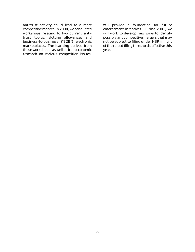antitrust activity could lead to a more competitive market. In 2000, we conducted workshops relating to two current antitrust topics, slotting allowances and business-to-business ("B2B") electronic marketplaces. The learning derived from these workshops, as well as from economic research on various competition issues,

will provide a foundation for future enforcement initiatives. During 2001, we will work to develop new ways to identify possibly anticompetitive mergers that may not be subject to filing under HSR in light of the raised filing thresholds effective this year.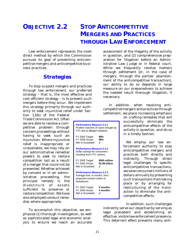# **OBJECTIVE 2.2 STOP ANTICOMPETITIVE MERGERS AND PRACTICES THROUGH LAW ENFORCEMENT**

Law enforcement represents the most direct method by which the Commission pursues its goal of preventing anticompetitive mergers and anticompetitive business practices.

#### *Strategies*

To stop suspect mergers and practices through law enforcement, our preferred strategy – that is, the most effective and cost-efficient strategy – is to prevent such mergers before they occur. We implement this strategy primarily through our authority to seek injunctive relief under Sec-

tion 13(b) of the Federal Trade Commission Act. Often we are able to resolve a competitive problem through consent proceedings without having to seek such an injunction. Where injunctive relief is inappropriate or unavailable, we may rely on our administrative remedial powers to seek to restore competition lost as a result of a merger that could not be prevented. Whether achieved by consent or in an administrative proceeding, the principal remedy is the divestiture of assets sufficient to preserve or restore competition. We have also employed conduct remedies where appropriate.

| <b>Performance Measure 2.2.1</b><br>Positive outcome of cases brought by<br>FTC due to alleged violations.       |                                 |  |  |
|------------------------------------------------------------------------------------------------------------------|---------------------------------|--|--|
| FY 2000 Target:<br>FY 2000 Actual:<br>Met or Exceeded:                                                           | 80%<br>95%                      |  |  |
| <b>Performance Measure 2.2.2</b><br>Dollar savings for consumers<br>resulting from FTC actions.                  |                                 |  |  |
| FY 2000 Target:<br>FY 2000 Actual:<br>Met or Exceeded:                                                           | \$500 million<br>\$2.98 billion |  |  |
| <b>Performance Measure 2.2.3</b><br>Average time, in months, from<br>proposed consent orders to<br>divestitures. |                                 |  |  |
| FY 2000 Target:<br>FY 2000 Actual:<br>Met or Exceeded:                                                           | 9 months<br>4 months            |  |  |

assessment of the illegality of the activity in question, and (2) comprehensive preparation for litigation before an Administrative Law Judge or in federal court. While we frequently resolve matters through settlement (or, in the case of mergers, through the parties' abandonment of the anticompetitive transaction), our ability to do so depends in large measure on our preparedness to achieve the needed result thorough litigation, if necessary.

In addition, when resolving anticompetitive mergers and practices through settlement, we place increasing emphasis

on crafting remedies that will successfully eliminate the anticompetitive effects of the activity in question, and do so in a timely fashion.

We employ our law enforcement authority to stop anticompetitive mergers and practices both directly and indirectly. Through direct legal challenges to specific anticompetitive transactions, we save consumers millions of dollars annually by preventing such transactions from taking place or by arranging for restructuring of the transaction to eliminate the anticompetitive effects.

To accomplish this objective, we emphasize (1) thorough investigation, as well as sophisticated legal and economic analysis to ensure we reach an accurate

In addition, such challenges indirectly serve our objective by serving as legal precedent and establishing an effective, visible law enforcement presence. This deterrent effect prevents many anti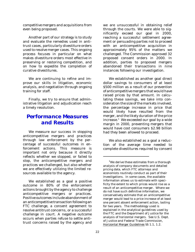competitive mergers and acquisitions from even being proposed.

Another part of our strategy is to study and evaluate the remedies used in antitrust cases, particularly divestiture orders used to resolve merger cases. This ongoing process focuses in particular on what makes divestiture orders most effective in preserving or restoring competition, and on how to expedite the completion of curative divestitures.

We are continuing to refine and improve our skills in litigation, economic analysis, and negotiation through ongoing training for staff.

Finally, we try to ensure that administrative litigation and adjudication reach a timely resolution.

#### *Performance Measures and Results*

We measure our success in stopping anticompetitive mergers and practices through law enforcement by the percentage of successful outcomes in enforcement actions. This measure is important not only because it directly reflects whether we stopped, or failed to stop, the anticompetitive mergers and practices we challenged, but also whether we are effectively utilizing the limited resources available to the agency.

We established as a goal a positive outcome in 80% of the enforcement actions brought by the agency to challenge anticompetitive mergers or practices. Positive outcomes include abandonment of an anticompetitive transaction following an FTC challenge, a consent agreement to resolve antitrust concerns, or a successful challenge in court. A negative outcome occurs when parties refuse to settle antitrust concerns raised by the agency and

we are unsuccessful in obtaining relief through the courts. We were able to significantly exceed our goal in 2000, reaching a successful settlement agreement or persuading parties not to proceed with an anticompetitive acquisition in approximately 95% of the matters we challenged. The Commission approved 32 proposed consent orders in 2000. In addition, parties to proposed mergers abandoned their transactions in nine instances following our investigation.

We established as another goal direct dollar savings to consumers of at least \$500 million as a result of our prevention of anticompetitive mergers that would have raised prices by that amount. In calculating these savings, we take into consideration the size of the markets involved, the percentage increase in price that would likely have resulted from the merger, and the likely duration of the price increase.<sup>1</sup> We exceeded our goal by a wide margin in 2000, preventing mergers that would have cost consumers \$2.98 billion had they been allowed to proceed.

We also established as a goal a reduction of the average time needed to complete divestitures required by consent

<sup>&</sup>lt;sup>1</sup>We derive these estimates from a thorough analysis of company documents and detailed pricing data, which FTC attorneys and economists routinely conduct as part of their investigations. In some cases, the available information allows us to estimate with specificity the extent to which prices would rise as a result of an anticompetitive merger. Where we do not have such definitive information, we conservatively estimate that an anticompetitive merger would lead to a price increase of at least one percent absent enforcement action, lasting for two years. The methodology used is explained in the analytical guidelines used by the FTC and the Department of Justice for the analysis of horizontal mergers. See U.S. Dept. of Justice and Federal Trade Commission, Horizontal Merger Guidelines §§ 1.1, 1.2.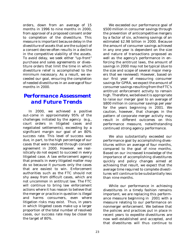orders, down from an average of 15 months in 1996 to nine months in 2000, from approval of a proposed consent order to completion of the divestiture. This measure is important because delay in the divestiture of assets that are the subject of a consent decree often results in a decline in the competitive viability of the assets. To avoid delay, we seek either "up-front" purchase and sales agreements or divestiture orders that limit the time in which divestiture relief is accomplished to the minimum necessary. As a result, we exceeded our goal, ensuring the completion of needed divestitures in an average of four months in 2000.

### *Performance Assessment and Future Trends*

In 2000, we achieved a positive out-come in approximately 95% of the challenges initiated by the agency (e.g., court orders in litigated cases and negotiated settlements), exceeding by a significant margin our goal of an 80% success rate. This level of success was due, in part, to the high percentage of our cases that were resolved through consent agreement in 2000. However, we realistically do not expect to succeed in every litigated case. A law enforcement agency that prevails in every litigated matter may do so because it pursues only the cases that are easiest to win. Enforcement authorities such as the FTC should not shy away from difficult cases, which are not uncommon in antitrust law. The FTC will continue to bring law enforcement actions where it has reason to believe that the merger or practice in question is illegal and harms consumers, even where litigation risks may exist. Thus, in years in which litigated cases make up a larger proportion of the total number of resolved cases, our success rate may be closer to the target of 80%.

\$500 million in consumer savings through the prevention of anticompetitive mergers by a factor of six, achieving savings of an estimated \$2.98 billion in 2000. Because the amount of consumer savings achieved in any one year is dependent on the size and nature of transactions proposed as well as the agency's performance in enforcing the antitrust laws, the amount of savings in 2000 may not be typical (due to the size and scope of several major mergers that we reviewed). However, based on our first year of measuring consumer savings for GPRA, we expect the amount of consumer savings resulting from the FTC's antitrust enforcement activity to remain high. Therefore, we believe it is appropriate to raise our merger goal to an average of \$800 million in consumer savings per year for the years beginning in 2001. We caution, however, that changes in the pattern of corporate merger activity may result in different outcomes on this performance measure, notwithstanding continued strong agency performance.

We exceeded our performance goal of

We also substantially exceeded our performance goal by accomplishing divestitures within an average of four months, compared to the goal of nine months. Based on our increased knowledge of the importance of accomplishing divestitures quickly and policy changes aimed at achieving that result, we expect that the average time required to complete divestitures will continue to be substantially less than nine months.

While our performance in achieving divestitures in a timely fashion remains important, we are replacing this performance measure beginning in 2001 with a measure relating to our performance on nonmerger enforcement. We believe that the policies and practices put in place in recent years to expedite divestitures are now well-established and accepted, and that divestitures will thus continue to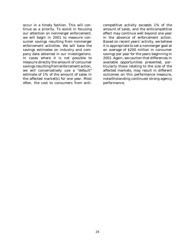occur in a timely fashion. This will continue as a priority. To assist in focusing our attention on nonmerger enforcement, we will begin in 2001 to measure consumer savings resulting from nonmerger enforcement activities. We will base the savings estimates on industry and company data obtained in our investigations. In cases where it is not possible to measure directly the amount of consumer savings resulting from enforcement action, we will conservatively use a "default" estimate of 1% of the amount of sales in the affected market(s) for one year. Most often, the cost to consumers from anticompetitive activity exceeds 1% of the amount of sales, and the anticompetitive effect may continue well beyond one year in the absence of enforcement action. Based on recent years' activity, we believe it is appropriate to set a nonmerger goal at an average of \$200 million in consumer savings per year for the years beginning in 2001. Again, we caution that differences in available opportunities presented, particularly those relating to the size of the affected markets, may result in different outcomes on this performance measure, notwithstanding continued strong agency performance.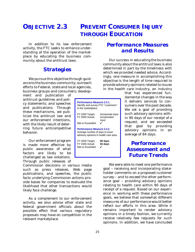# **OBJECTIVE 2.3 PREVENT CONSUMER INJURY THROUGH EDUCATION**

In addition to its law enforcement activity, the FTC seeks to enhance understanding of the operation of the marketplace by educating the business community about the antitrust laws.

#### *Strategies*

We pursue this objective through guidance to the business community; outreach efforts to Federal, state and local agencies, business groups and consumers; develop-

ment and publication of antitrust guidelines and policy statements; and speeches and publications. Through these mechanisms, we publicize the antitrust law and our enforcement intentions, with the likely result of deterring future anticompetitive behavior.

Our enforcement program is made more effective by public awareness of what factors are likely to be challenged as law violations. Through public releases of

Commission decisions in various media such as press releases, Web page publications, and speeches, the public facts underlying Commission actions provide bases for companies to evaluate the likelihood that other transactions would likely face challenge.

As a complement to our enforcement activity, we also advise other state and federal government officials about the possible effect that various regulatory proposals may have on competition in the relevant marketplace.

# *Performance Measures and Results*

Our success in educating the business community about the antitrust laws is also determined in part by the timeliness with which we provided needed advice. Accordingly, one measure in accomplishing this objective is the length of time required to provide advisory opinions related to issues in the health care industry, an industry

> that has experienced fundamental changes in the way it delivers services to consumers over the past decade. We set a goal of providing such advisory opinions within 90 days of our receipt of a request, and we exceeded that goal by providing advisory opinions in an average of 84 days.

*Performance Assessment and Future Trends*

We were able to meet one performance goal – receiving and incorporating stakeholder comments on a proposed customer survey – and to exceed the other performance goal – providing advisory opinions relating to health care within 90 days of receipt of a request. Based on our experience in working with these performance goals, we believe that somewhat different measures of our performance would better reflect our efforts in this area. While it remains important to render advisory opinions in a timely fashion, we currently receive relatively few requests for such opinions. In addition, we have concluded

**Performance Measure 2.3.1** Identify and survey FTC "customers"

**Performance Measure 2.3.2** Average number of days to issue advisory opinions in health care area.

FY 2000 Target: **90 days** FY 2000 Actual: **84 days**

FY 2000 Target: incorporate input FY 2000 Actual: incorporated

input

in the marketplace.

Met or Exceeded:

Met or Exceeded: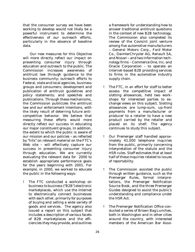that the consumer survey we have been working to develop would not likely be a powerful instrument to determine the effectiveness of our outreach efforts, particularly in the absence of baseline data.

 Our new measures for this Objective will more directly reflect our impact on preventing consumer injury through education and outreach to the public. The Commission increases awareness of antitrust law through guidance to the business community; outreach efforts to Federal, state and local agencies, business groups and consumers; development and publication of antitrust guidelines and policy statements; and speeches and publications. Through these mechanisms, the Commission publicizes the antitrust law and our enforcement intentions, with the likely result of deterring future anticompetitive behavior. We believe that measuring these efforts would more directly reflect our success in educating our major constituent groups. In addition, the extent to which the public is aware of our mission and our policies – as reflected by "hits" on relevant material on the FTC's Web site – will effectively capture our success in preventing consumer injury through education. We are currently evaluating the relevant data for 2000 to establish appropriate performance goals for the years beginning with 2001. For example, in 2000, we worked to educate the public in the following ways:

! The FTC conducted a workshop on business to business ("B2B") electronic marketplaces, which use the Internet to electronically connect businesses with each other, primarily for purposes of buying and selling a wide variety of goods and services. The agency also issued a report on this subject that includes a description of various facets of B2B marketplaces and the efficiencies they may provide, and outlines

a framework for understanding how to answer traditional antitrust questions in the context of new B2B technology. The Commission also completed its review of the Covisint joint venture among five automotive manufacturers – General Motors Corp., Ford Motor Co., DaimlerChrysler AG, Renault SA, and Nissan – and two information technology firms – Commerce One, Inc. and Oracle Corporation – to operate an Internet-based B2B providing services to firms in the automotive industry supply chain.

- ! The FTC, in an effort for staff to better assess the competitive impact of slotting allowances, held two workshops for interested parties to exchange views on this subject. Slotting allowances are lump-sum, up-front payments from a manufacturer or producer to a retailer to have a new product carried by the retailer and placed on its shelf. The agency continues to study this subject.
- ! Our Premerger staff handled approximately 41,000 telephone inquiries from the public, primarily concerning interpretation of the statute and the HSR rules. Staff estimates that at least half of these inquiries related to issues of reportability.
- ! The Commission assisted the public through written guidance, such as the Premerger Rules, formal interpretations, the Premerger Notification Source Book, and the three Premerger Guides designed to assist the public's understanding and compliance under the *HSR Act*.
- ! The Premerger Notification Office conducted a series of Brown Bag Lunches, both in Washington and in other cities around the country, with interested members of the American Bar Asso-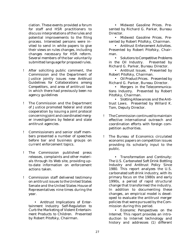ciation. These events provided a forum for staff and HSR practitioners to discuss interpretations of the rules and potential improvements to the filing process. Interested persons were invited to send in white papers to give their views on rules changes, including changes necessary for HSR reform. Several members of the bar voluntarily submitted language for proposed rules.

- ! After soliciting public comment, the Commission and the Department of Justice jointly issues new *Antitrust Guidelines for Collaborations among Competitors*, and area of antitrust law in which there had previously been no agency guidelines
- ! The Commission and the Department of Justice promoted federal and state cooperation by issuing a joint protocol concerning joint and coordinated merger investigations by federal and state antitrust agencies.
- ! Commissioners and senior staff members presented a number of speeches before bar and business groups on current enforcement topics.
- ! The Commission published press releases, complaints and other materials through its Web site, providing upto-date information on enforcement actions taken.
- ! Commission staff delivered testimony on antitrust issues to the United States Senate and the United States House of Representatives nine times during the year.

• *Antitrust Implications of Entertainment Industry Self-Regulation to Curb the Marketing of Violent Entertainment Products to Children*. Presented by Robert Pitofsky, Chairman.

• *Midwest Gasoline Prices*. Presented by Richard G. Parker, Bureau Director.

• *Midwest Gasoline Prices*. Presented by Robert Pitofsky, Chairman.

• *Antitrust Enforcement Activities*. Presented by Robert Pitofsky, Chairman.

• *Solutions to Competitive Problems in the Oil Industry*. Presented by Richard G. Parker, Bureau Director.

• *Antitrust Issues*. Presented by Robert Pitofsky, Chairman.

• *Oil Product Prices*. Presented by Richard G. Parker, Bureau Director.

• *Mergers in the Telecommunications Industry*. Presented by Robert Pitofsky, Chairman.

• *Slotting Allowances and the Antitrust Laws*. Presented by Willard K. Tom, Deputy Director.

- ! The Commission continued to maintain effective international outreach and coordination efforts with foreign competition authorities.
- ! The Bureau of Economics circulated economic papers on competition issues providing its scholarly input to the public.

• *Transformation and Continuity: The U.S. Carbonated Soft Drink Bottling Industry and Antitrust Policy Since 1980*. This report analyzes the U.S. carbonated soft drink industry, with its primary focus on the 1980s and early 1990s, a period of rapid structural change that transformed the industry. In addition to documenting these changes, an empirical model is developed to evaluate the antitrust merger policies that were pursued by the Commission during this period.

• *Economic Perspectives on the Internet*. This report provides an introduction to Internet technology and history and addresses (1) different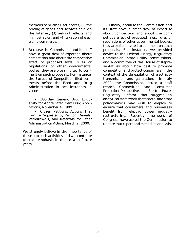methods of pricing user access, (2) the pricing of goods and services sold via the Internet, (3) network effects and firm behavior, and (4) taxation of electronic commerce.

! Because the Commission and its staff have a great deal of expertise about competition and about the competitive effect of proposed laws, rules or regulations of other governmental bodies, they are often invited to comment on such proposals. For instance, the Bureau of Competition filed comments before the Food and Drug Administration in two instances in 2000:

• *180-Day Generic Drug Exclusivity for Abbreviated New Drug Applications*, November 4, 1999.

• *Citizen Petitions; Actions That Can Be Requested by Petition; Denials, Withdrawals, and Referrals for Other Administration Action*, March 2, 2000.

We strongly believe in the importance of these outreach activities and will continue to place emphasis in this area in future years.

Finally, because the Commission and its staff have a great deal of expertise about competition and about the competitive effect of proposed laws, rules or regulations of other governmental bodies, they are often invited to comment on such proposals. For instance, we provided advice to the Federal Energy Regulatory Commission, state utility commissions, and a committee of the House of Representatives about how best to promote competition and protect consumers in the context of the deregulation of electricity transmission and generation. In July 2000, the Commission issued a staff report, *Competition and Consumer Protection Perspectives on Electric Power Regulatory Reform*, that suggest an analytical framework that federal and state policymakers may wish to employ to ensure that consumers and businesses benefit from electric power industry restructuring. Recently, members of Congress have asked the Commission to update that report and extend its analysis.